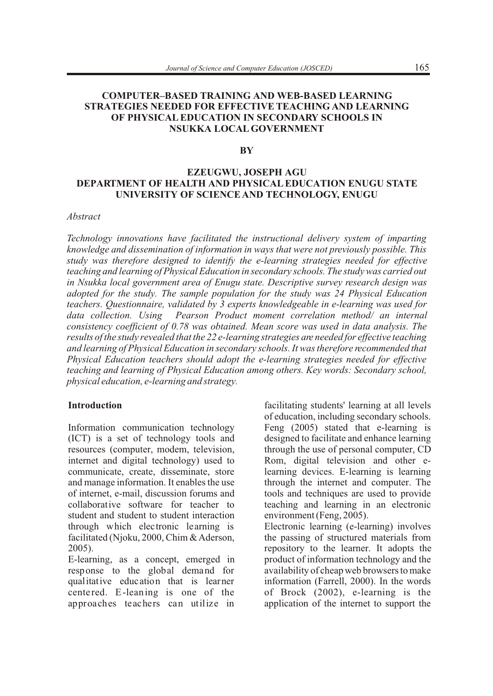# **COMPUTER–BASED TRAINING AND WEB-BASED LEARNING STRATEGIES NEEDED FOR EFFECTIVE TEACHING AND LEARNING OF PHYSICAL EDUCATION IN SECONDARY SCHOOLS IN NSUKKA LOCAL GOVERNMENT**

### **BY**

## **EZEUGWU, JOSEPH AGU DEPARTMENT OF HEALTH AND PHYSICAL EDUCATION ENUGU STATE UNIVERSITY OF SCIENCE AND TECHNOLOGY, ENUGU**

## *Abstract*

*Technology innovations have facilitated the instructional delivery system of imparting knowledge and dissemination of information in ways that were not previously possible. This study was therefore designed to identify the e-learning strategies needed for effective teaching and learning of Physical Education in secondary schools. The study was carried out in Nsukka local government area of Enugu state. Descriptive survey research design was adopted for the study. The sample population for the study was 24 Physical Education teachers. Questionnaire, validated by 3 experts knowledgeable in e-learning was used for data collection. Using Pearson Product moment correlation method/ an internal consistency coefficient of 0.78 was obtained. Mean score was used in data analysis. The results of the study revealed that the 22 e-learning strategies are needed for effective teaching and learning of Physical Education in secondary schools. It was therefore recommended that Physical Education teachers should adopt the e-learning strategies needed for effective teaching and learning of Physical Education among others. Key words: Secondary school, physical education, e-learning and strategy.* 

(ICT) is a set of technology tools and designed to facilitate and enhance learning resources (computer, modem, television, through the use of personal computer, CD internet and digital technology) used to communicate, create, disseminate, store learning devices. E-learning is learning and manage information. It enables the use through the internet and computer. The of internet, e-mail, discussion forums and techniques are used to provide of internet, e-mail, discussion forums and tools and techniques are used to provide student and student to student interaction environment (Feng, 2005). through which electronic learning is Electronic learning (e-learning) involves facilitated (Njoku, 2000, Chim & Aderson, the passing of structured materials from 2005). repository to the learner. It adopts the

response to the global demand for availability of cheap web browsers to make qualitative education that is learner information (Farrell, 2000). In the words cente red. E-leaning is one of the of Brock (2002), e-learning is the approaches teachers can utilize in application of the internet to support the

**Introduction introduction facilitating students' learning at all levels** of education, including secondary schools. Information communication technology Feng (2005) stated that e-learning is through the use of personal computer, CD<br>Rom, digital television and other eteaching and learning in an electronic

E-learning, as a concept, emerged in product of information technology and the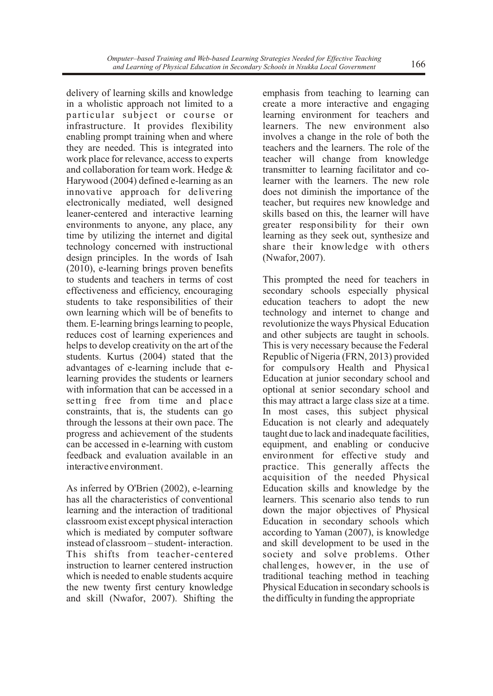in a wholistic approach not limited to a create a more interactive and engaging particular subject or course or learning environment for teachers and infrastructure. It provides flexibility learners. The new environment also enabling prompt training when and where involves a change in the role of both the they are needed. This is integrated into teachers and the learners. The role of the work place for relevance, access to experts teacher will change from knowledge and collaboration for team work. Hedge  $\&$  transmitter to learning facilitator and co-Harywood (2004) defined e-learning as an learner with the learners. The new role innovative approach for delivering does not diminish the importance of the electronically mediated, well designed teacher, but requires new knowledge and leaner-centered and interactive learning skills based on this, the learner will have environments to anyone, any place, any greater responsibility for their own time by utilizing the internet and digital learning as they seek out, synthesize and technology concerned with instructional share their knowledge with others design principles. In the words of Isah (Nwafor, 2007). (2010), e-learning brings proven benefits to students and teachers in terms of cost This prompted the need for teachers in effectiveness and efficiency, encouraging secondary schools especially physical students to take responsibilities of their education teachers to adopt the new own learning which will be of benefits to technology and internet to change and them. E-learning brings learning to people, revolutionize the ways Physical Education reduces cost of learning experiences and and other subjects are taught in schools. helps to develop creativity on the art of the This is very necessary because the Federal students. Kurtus (2004) stated that the Republic of Nigeria (FRN, 2013) provided advantages of e-learning include that e- for compulsory Health and Physical learning provides the students or learners Education at junior secondary school and with information that can be accessed in a optional at senior secondary school and se tting free from time and place this may attract a large class size at a time.<br>constraints, that is, the students can go In most cases, this subject physical constraints, that is, the students can go through the lessons at their own pace. The Education is not clearly and adequately progress and achievement of the students taught due to lack and inadequate facilities, can be accessed in e-learning with custom equipment, and enabling or conducive feedback and evaluation available in an environment for effective study and interactive environment. practice. This generally affects the

As inferred by O'Brien (2002), e-learning Education skills and knowledge by the has all the characteristics of conventional learners. This scenario also tends to run learning and the interaction of traditional down the major objectives of Physical classroom exist except physical interaction Education in secondary schools which which is mediated by computer software according to Yaman (2007), is knowledge instead of classroom – student- interaction. and skill development to be used in the This shifts from teacher-centered society and solve problems. Other<br>instruction to learner centered instruction challenges, however, in the use of instruction to learner centered instruction<br>which is needed to enable students acquire the new twenty first century knowledge Physical Education in secondary schools is and skill (Nwafor, 2007). Shifting the the difficulty in funding the appropriate

delivery of learning skills and knowledge emphasis from teaching to learning can

acquisition of the needed Physical traditional teaching method in teaching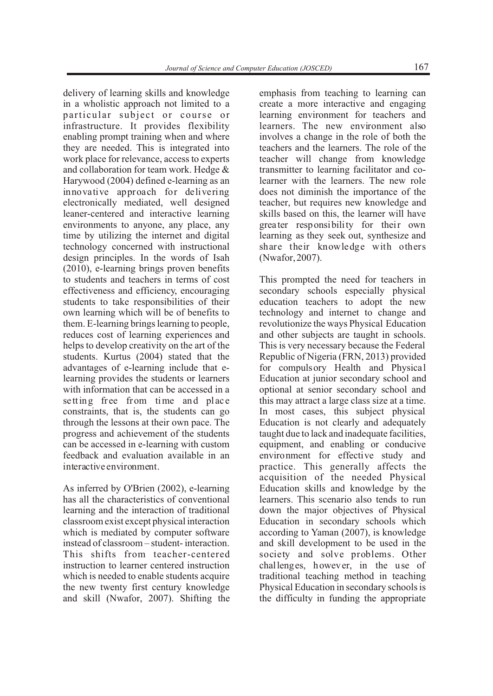in a wholistic approach not limited to a create a more interactive and engaging particular subject or course or learning environment for teachers and infrastructure. It provides flexibility learners. The new environment also enabling prompt training when and where involves a change in the role of both the they are needed. This is integrated into teachers and the learners. The role of the work place for relevance, access to experts teacher will change from knowledge and collaboration for team work. Hedge  $\&$  transmitter to learning facilitator and co-Harywood (2004) defined e-learning as an learner with the learners. The new role innovative approach for delivering does not diminish the importance of the electronically mediated, well designed teacher, but requires new knowledge and leaner-centered and interactive learning skills based on this, the learner will have environments to anyone, any place, any greater responsibility for their own time by utilizing the internet and digital learning as they seek out, synthesize and technology concerned with instructional share their knowledge with others design principles. In the words of Isah (Nwafor, 2007). (2010), e-learning brings proven benefits to students and teachers in terms of cost This prompted the need for teachers in effectiveness and efficiency, encouraging secondary schools especially physical students to take responsibilities of their education teachers to adopt the new own learning which will be of benefits to technology and internet to change and them. E-learning brings learning to people, revolutionize the ways Physical Education reduces cost of learning experiences and and other subjects are taught in schools. helps to develop creativity on the art of the This is very necessary because the Federal students. Kurtus (2004) stated that the Republic of Nigeria (FRN, 2013) provided advantages of e-learning include that e- for compulsory Health and Physical learning provides the students or learners Education at junior secondary school and with information that can be accessed in a optional at senior secondary school and setting free from time and place this may attract a large class size at a time. constraints, that is, the students can go In most cases, this subject physical through the lessons at their own pace. The Education is not clearly and adequately progress and achievement of the students taught due to lack and inadequate facilities, can be accessed in e-learning with custom equipment, and enabling or conducive feedback and evaluation available in an environment for effective study and interactive environment. practice. This generally affects the

As inferred by O'Brien (2002), e-learning Education skills and knowledge by the has all the characteristics of conventional learners. This scenario also tends to run learning and the interaction of traditional down the major objectives of Physical classroom exist except physical interaction Education in secondary schools which which is mediated by computer software according to Yaman (2007), is knowledge instead of classroom – student- interaction. and skill development to be used in the This shifts from teacher-centered society and solve problems. Other<br>instruction to learner centered instruction challenges, however, in the use of instruction to learner centered instruction which is needed to enable students acquire traditional teaching method in teaching the new twenty first century knowledge Physical Education in secondary schools is and skill (Nwafor, 2007). Shifting the the difficulty in funding the appropriate

delivery of learning skills and knowledge emphasis from teaching to learning can

acquisition of the needed Physical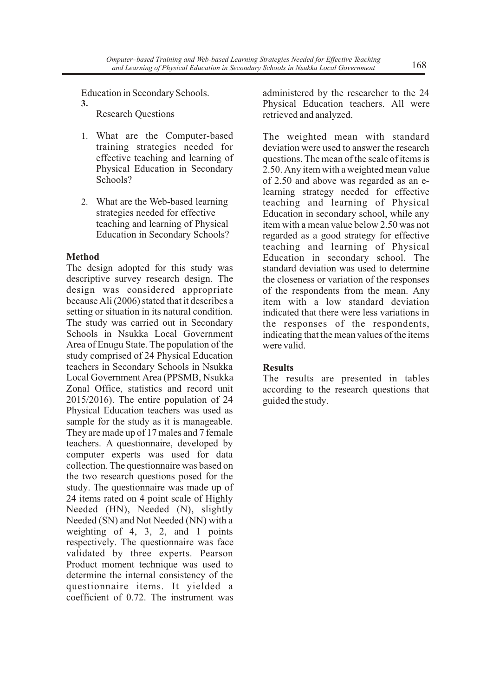- 
- 

The design adopted for this study was standard deviation was used to determine descriptive survey research design. The the closeness or variation of the responses descriptive survey research design. The the closeness or variation of the responses design was considered appropriate of the respondents from the mean Any design was considered appropriate of the respondents from the mean. Any because Ali (2006) stated that it describes a trem with a low standard deviation because Ali (2006) stated that it describes a item with a low standard deviation setting or situation in its natural condition. indicated that there were less variations in setting or situation in its natural condition. indicated that there were less variations in<br>The study was carried out in Secondary<br>the responses of the respondents The study was carried out in Secondary<br>Schools in Nsukka Local Government indicating that the mean values of the items Area of Enugu State. The population of the were valid. study comprised of 24 Physical Education teachers in Secondary Schools in Nsukka<br>
Local Government Area (PPSMB, Nsukka<br>
The re Local Government Area (PPSMB, Nsukka The results are presented in tables Zonal Office, statistics and record unit according to the research questions that 2015/2016). The entire population of 24 guided the study. Physical Education teachers was used as sample for the study as it is manageable. They are made up of 17 males and 7 female teachers. A questionnaire, developed by computer experts was used for data collection. The questionnaire was based on the two research questions posed for the study. The questionnaire was made up of 24 items rated on 4 point scale of Highly Needed (HN), Needed (N), slightly Needed (SN) and Not Needed (NN) with a weighting of 4, 3, 2, and 1 points respectively. The questionnaire was face validated by three experts. Pearson Product moment technique was used to determine the internal consistency of the questionnaire items. It yielded a coefficient of 0.72. The instrument was

Education in Secondary Schools. administered by the researcher to the 24 **3.** Physical Education teachers. All were retrieved and analyzed. retrieved and analyzed.

1. What are the Computer-based The weighted mean with standard training strategies needed for deviation were used to answer the research training strategies needed for deviation were used to answer the research effective teaching and learning of questions. The mean of the scale of items is effective teaching and learning of questions. The mean of the scale of items is<br>Physical Education in Secondary 2.50. Any item with a weighted mean value Physical Education in Secondary 2.50. Any item with a weighted mean value<br>Schools?<br>So and above was regarded as an eof 2.50 and above was regarded as an elearning strategy needed for effective 2. What are the Web-based learning teaching and learning of Physical strategies needed for effective Education in secondary school, while any strategies needed for effective<br>Education in secondary school, while any<br>teaching and learning of Physical item with a mean value below 2.50 was not teaching and learning of Physical item with a mean value below 2.50 was not<br>Education in Secondary Schools? regarded as a good strategy for effective regarded as a good strategy for effective teaching and learning of Physical **Method** Education in secondary school. The The design adopted for this study was standard deviation was used to determine indicating that the mean values of the items

according to the research questions that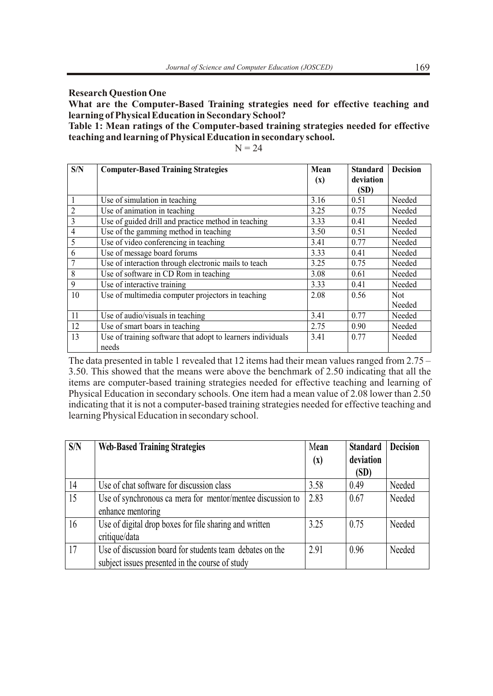**Research Question One**

**What are the Computer-Based Training strategies need for effective teaching and learning of Physical Education in Secondary School?**

**Table 1: Mean ratings of the Computer-based training strategies needed for effective teaching and learning of Physical Education in secondary school.** 

 $N = 24$ 

| S/N            | <b>Computer-Based Training Strategies</b>                   | Mean           | <b>Standard</b> | <b>Decision</b> |
|----------------|-------------------------------------------------------------|----------------|-----------------|-----------------|
|                |                                                             | $(\mathbf{x})$ | deviation       |                 |
|                |                                                             |                | (SD)            |                 |
|                | Use of simulation in teaching                               | 3.16           | 0.51            | Needed          |
| $\overline{2}$ | Use of animation in teaching                                | 3.25           | 0.75            | Needed          |
| $\overline{3}$ | Use of guided drill and practice method in teaching         | 3.33           | 0.41            | Needed          |
| 4              | Use of the gamming method in teaching                       | 3.50           | 0.51            | Needed          |
| 5              | Use of video conferencing in teaching                       | 3.41           | 0.77            | Needed          |
| 6              | Use of message board forums                                 | 3.33           | 0.41            | Needed          |
|                | Use of interaction through electronic mails to teach        | 3.25           | 0.75            | Needed          |
| 8              | Use of software in CD Rom in teaching                       | 3.08           | 0.61            | Needed          |
| 9              | Use of interactive training                                 | 3.33           | 0.41            | Needed          |
| 10             | Use of multimedia computer projectors in teaching           | 2.08           | 0.56            | <b>Not</b>      |
|                |                                                             |                |                 | Needed          |
| 11             | Use of audio/visuals in teaching                            | 3.41           | 0.77            | Needed          |
| 12             | Use of smart boars in teaching                              | 2.75           | 0.90            | Needed          |
| 13             | Use of training software that adopt to learners individuals | 3.41           | 0.77            | Needed          |
|                | needs                                                       |                |                 |                 |

The data presented in table 1 revealed that 12 items had their mean values ranged from 2.75 – 3.50. This showed that the means were above the benchmark of 2.50 indicating that all the items are computer-based training strategies needed for effective teaching and learning of Physical Education in secondary schools. One item had a mean value of 2.08 lower than 2.50 indicating that it is not a computer-based training strategies needed for effective teaching and learning Physical Education in secondary school.

| S/N | <b>Web-Based Training Strategies</b>                       | Mean<br>$\left( x\right)$ | <b>Standard</b><br>deviation | <b>Decision</b> |
|-----|------------------------------------------------------------|---------------------------|------------------------------|-----------------|
|     |                                                            |                           | (SD)                         |                 |
| 14  | Use of chat software for discussion class                  | 3.58                      | 0.49                         | Needed          |
| 15  | Use of synchronous ca mera for mentor/mentee discussion to | 2.83                      | 0.67                         | Needed          |
|     | enhance mentoring                                          |                           |                              |                 |
| 16  | Use of digital drop boxes for file sharing and written     | 3.25                      | 0.75                         | Needed          |
|     | critique/data                                              |                           |                              |                 |
| 17  | Use of discussion board for students team debates on the   | 2.91                      | 0.96                         | Needed          |
|     | subject issues presented in the course of study            |                           |                              |                 |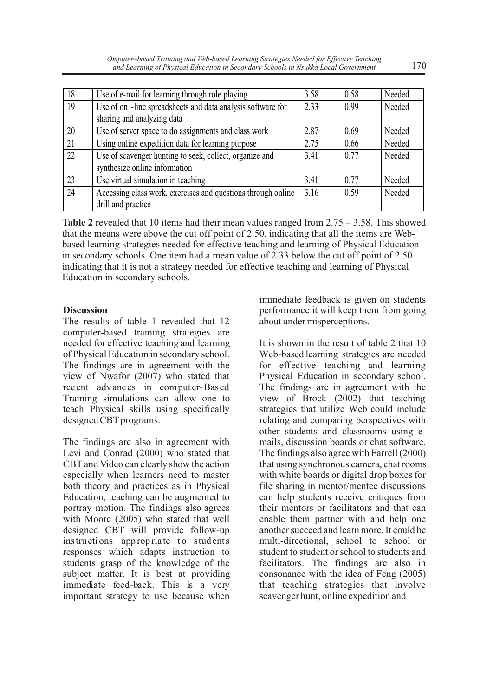| 18 | Use of e-mail for learning through role playing              | 3.58 | 0.58 | Needed |
|----|--------------------------------------------------------------|------|------|--------|
| 19 | Use of on -line spreadsheets and data analysis software for  | 2.33 | 0.99 | Needed |
|    | sharing and analyzing data                                   |      |      |        |
| 20 | Use of server space to do assignments and class work         | 2.87 | 0.69 | Needed |
| 21 | Using online expedition data for learning purpose            | 2.75 | 0.66 | Needed |
| 22 | Use of scavenger hunting to seek, collect, organize and      | 3.41 | 0.77 | Needed |
|    | synthesize online information                                |      |      |        |
| 23 | Use virtual simulation in teaching                           | 3.41 | 0.77 | Needed |
| 24 | Accessing class work, exercises and questions through online | 3.16 | 0.59 | Needed |
|    | drill and practice                                           |      |      |        |

**Table 2** revealed that 10 items had their mean values ranged from 2.75 – 3.58. This showed that the means were above the cut off point of 2.50, indicating that all the items are Webbased learning strategies needed for effective teaching and learning of Physical Education in secondary schools. One item had a mean value of 2.33 below the cut off point of 2.50 indicating that it is not a strategy needed for effective teaching and learning of Physical Education in secondary schools.

The results of table 1 revealed that 12 about under misperceptions. computer-based training strategies are needed for effective teaching and learning It is shown in the result of table 2 that 10 of Physical Education in secondary school. Web-based learning strategies are needed The findings are in agreement with the for effective teaching and learning view of Nwafor (2007) who stated that Physical Education in secondary school. rec ent advances in computer-Based The findings are in agreement with the Training simulations can allow one to view of Brock (2002) that teaching teach Physical skills using specifically strategies that utilize Web could include designed CBT programs. The relating and comparing perspectives with

The findings are also in agreement with mails, discussion boards or chat software. Levi and Conrad (2000) who stated that The findings also agree with Farrell (2000) CBT and Video can clearly show the action that using synchronous camera, chat rooms especially when learners need to master with white boards or digital drop boxes for both theory and practices as in Physical file sharing in mentor/mentee discussions Education, teaching can be augmented to can help students receive critiques from portray motion. The findings also agrees their mentors or facilitators and that can with Moore (2005) who stated that well enable them partner with and help one designed CBT will provide follow-up another succeed and learn more. It could be designed CBT will provide follow-up instructions appropria te to students multi-directional, school to school or responses which adapts instruction to student to student or school to students and students grasp of the knowledge of the facilitators. The findings are also in subject matter. It is best at providing consonance with the idea of Feng (2005) immediate feed-back. This is a very that teaching strategies that involve important strategy to use because when scavenger hunt, online expedition and

immediate feedback is given on students **Discussion** performance it will keep them from going

> other students and classrooms using econsonance with the idea of Feng  $(2005)$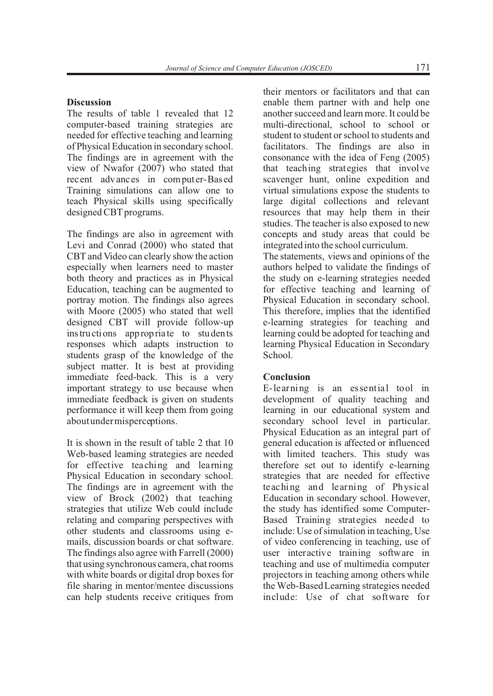computer-based training strategies are needed for effective teaching and learning student to student or school to students and of Physical Education in secondary school. facilitators. The findings are also in The findings are in agreement with the consonance with the idea of Feng (2005) view of Nwafor  $(2007)$  who stated that teaching strategies that involve rec ent advances in computer-Based scavenger hunt, online expedition and Training simulations can allow one to virtual simulations expose the students to teach Physical skills using specifically large digital collections and relevant designed CBT programs. resources that may help them in their

The findings are also in agreement with concepts and study areas that could be Levi and Conrad (2000) who stated that integrated into the school curriculum. CBT and Video can clearly show the action The statements, views and opinions of the especially when learners need to master authors helped to validate the findings of both theory and practices as in Physical the study on e-learning strategies needed Education, teaching can be augmented to for effective teaching and learning of portray motion. The findings also agrees Physical Education in secondary school. with Moore (2005) who stated that well This therefore, implies that the identified designed CBT will provide follow-up e-learning strategies for teaching and instructions appropria te to students learning could be adopted for teaching and responses which adapts instruction to learning Physical Education in Secondary students grasp of the knowledge of the School. subject matter. It is best at providing immediate feed-back. This is a very **Conclusion** important strategy to use because when E-learning is an essential tool in immediate feedback is given on students development of quality teaching and performance it will keep them from going learning in our educational system and about under misperceptions. secondary school level in particular.

Web-based learning strategies are needed with limited teachers. This study was for effective teaching and learning therefore set out to identify e-learning Physical Education in secondary school. strategies that are needed for effective The findings are in agreement with the teaching and learning of Physical The findings are in agreement with the view of Brock (2002) that teaching Education in secondary school. However, strategies that utilize Web could include the study has identified some Computerrelating and comparing perspectives with Based Training strategies needed to other students and classrooms using e- include: Use of simulation in teaching, Use mails, discussion boards or chat software. of video conferencing in teaching, use of The findings also agree with Farrell (2000) user interactive training software in that using synchronous camera, chat rooms teaching and use of multimedia computer with white boards or digital drop boxes for projectors in teaching among others while file sharing in mentor/mentee discussions the Web-Based Learning strategies needed can help students receive critiques from include: Use of chat software for

their mentors or facilitators and that can **Discussion** enable them partner with and help one The results of table 1 revealed that 12 another succeed and learn more. It could be computer-based training strategies are multi-directional, school to school or virtual simulations expose the students to studies. The teacher is also exposed to new

Physical Education as an integral part of It is shown in the result of table 2 that 10 general education is affected or influenced